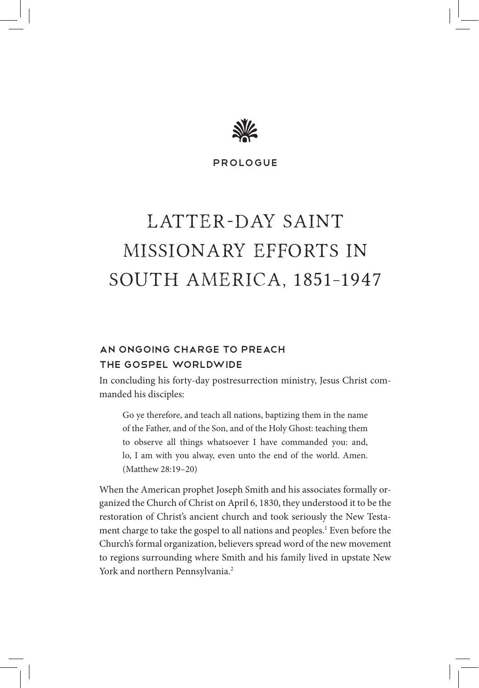

Prologue

# LATTER-DAY SAINT Missionary Efforts in South America, 1851–1947

# An Ongoing Charge to Preach the Gospel Worldwide

In concluding his forty-day postresurrection ministry, Jesus Christ commanded his disciples:

Go ye therefore, and teach all nations, baptizing them in the name of the Father, and of the Son, and of the Holy Ghost: teaching them to observe all things whatsoever I have commanded you: and, lo, I am with you alway, even unto the end of the world. Amen. (Matthew 28:19–20)

When the American prophet Joseph Smith and his associates formally organized the Church of Christ on April 6, 1830, they understood it to be the restoration of Christ's ancient church and took seriously the New Testament charge to take the gospel to all nations and peoples.<sup>1</sup> Even before the Church's formal organization, believers spread word of the new movement to regions surrounding where Smith and his family lived in upstate New York and northern Pennsylvania.<sup>2</sup>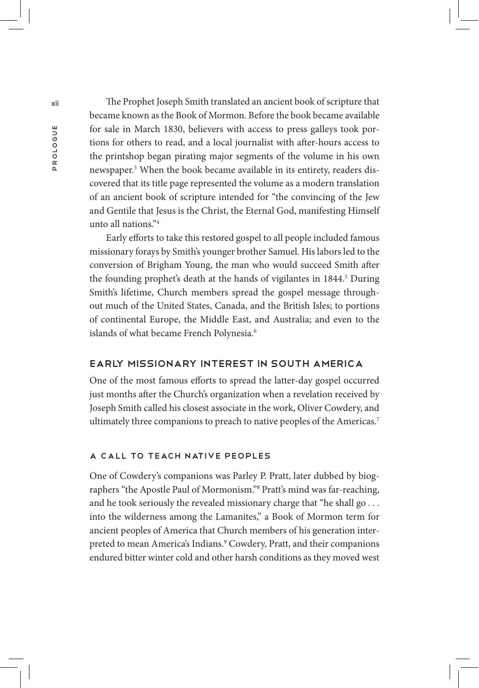xii The Prophet Joseph Smith translated an ancient book of scripture that became known as the Book of Mormon. Before the book became available for sale in March 1830, believers with access to press galleys took portions for others to read, and a local journalist with after-hours access to the printshop began pirating major segments of the volume in his own newspaper.3 When the book became available in its entirety, readers discovered that its title page represented the volume as a modern translation of an ancient book of scripture intended for "the convincing of the Jew and Gentile that Jesus is the Christ, the Eternal God, manifesting Himself unto all nations."4

> Early efforts to take this restored gospel to all people included famous missionary forays by Smith's younger brother Samuel. His labors led to the conversion of Brigham Young, the man who would succeed Smith after the founding prophet's death at the hands of vigilantes in 1844.<sup>5</sup> During Smith's lifetime, Church members spread the gospel message throughout much of the United States, Canada, and the British Isles; to portions of continental Europe, the Middle East, and Australia; and even to the islands of what became French Polynesia.<sup>6</sup>

#### Early Missionary Interest in South America

One of the most famous efforts to spread the latter-day gospel occurred just months after the Church's organization when a revelation received by Joseph Smith called his closest associate in the work, Oliver Cowdery, and ultimately three companions to preach to native peoples of the Americas.<sup>7</sup>

#### A Call to Teach Native Peoples

One of Cowdery's companions was Parley P. Pratt, later dubbed by biographers "the Apostle Paul of Mormonism."8 Pratt's mind was far-reaching, and he took seriously the revealed missionary charge that "he shall go ... into the wilderness among the Lamanites," a Book of Mormon term for ancient peoples of America that Church members of his generation interpreted to mean America's Indians.<sup>9</sup> Cowdery, Pratt, and their companions endured bitter winter cold and other harsh conditions as they moved west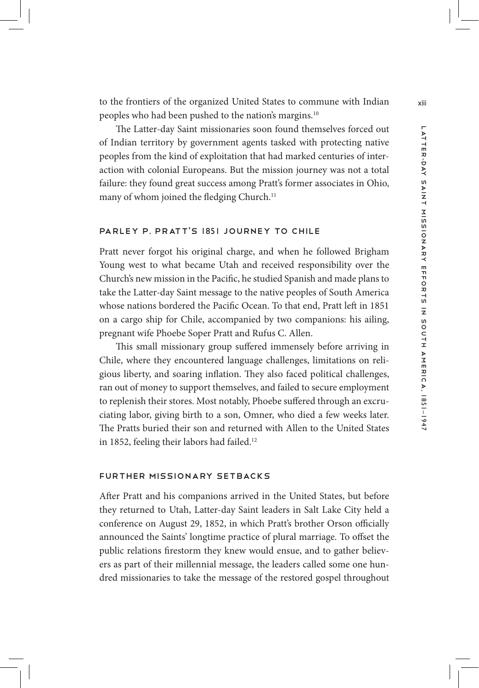The Latter-day Saint missionaries soon found themselves forced out of Indian territory by government agents tasked with protecting native peoples from the kind of exploitation that had marked centuries of interaction with colonial Europeans. But the mission journey was not a total failure: they found great success among Pratt's former associates in Ohio, many of whom joined the fledging Church.<sup>11</sup>

## Parley P. Pratt's 1851 Journey to Chile

Pratt never forgot his original charge, and when he followed Brigham Young west to what became Utah and received responsibility over the Church's new mission in the Pacific, he studied Spanish and made plans to take the Latter-day Saint message to the native peoples of South America whose nations bordered the Pacific Ocean. To that end, Pratt left in 1851 on a cargo ship for Chile, accompanied by two companions: his ailing, pregnant wife Phoebe Soper Pratt and Rufus C. Allen.

This small missionary group suffered immensely before arriving in Chile, where they encountered language challenges, limitations on religious liberty, and soaring inflation. They also faced political challenges, ran out of money to support themselves, and failed to secure employment to replenish their stores. Most notably, Phoebe suffered through an excruciating labor, giving birth to a son, Omner, who died a few weeks later. The Pratts buried their son and returned with Allen to the United States in 1852, feeling their labors had failed.<sup>12</sup>

#### Further Missionary Setbacks

After Pratt and his companions arrived in the United States, but before they returned to Utah, Latter-day Saint leaders in Salt Lake City held a conference on August 29, 1852, in which Pratt's brother Orson officially announced the Saints' longtime practice of plural marriage. To offset the public relations firestorm they knew would ensue, and to gather believers as part of their millennial message, the leaders called some one hundred missionaries to take the message of the restored gospel throughout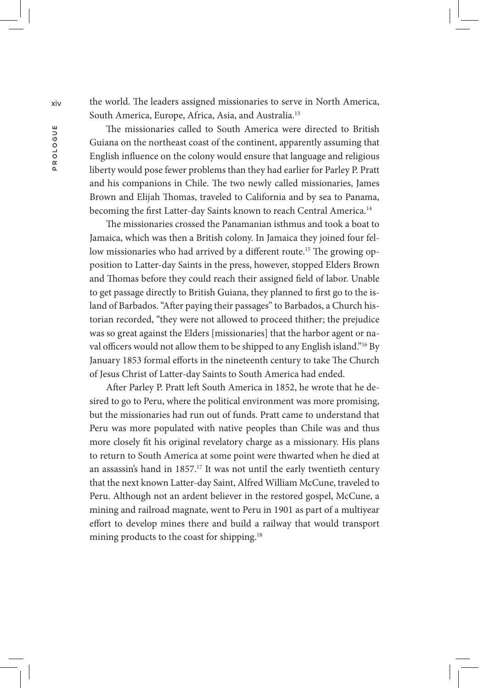xiv the world. The leaders assigned missionaries to serve in North America, South America, Europe, Africa, Asia, and Australia.13

> The missionaries called to South America were directed to British Guiana on the northeast coast of the continent, apparently assuming that English influence on the colony would ensure that language and religious liberty would pose fewer problems than they had earlier for Parley P. Pratt and his companions in Chile. The two newly called missionaries, James Brown and Elijah Thomas, traveled to California and by sea to Panama, becoming the first Latter-day Saints known to reach Central America.<sup>14</sup>

> The missionaries crossed the Panamanian isthmus and took a boat to Jamaica, which was then a British colony. In Jamaica they joined four fellow missionaries who had arrived by a different route.<sup>15</sup> The growing opposition to Latter-day Saints in the press, however, stopped Elders Brown and Thomas before they could reach their assigned field of labor. Unable to get passage directly to British Guiana, they planned to first go to the island of Barbados. "After paying their passages" to Barbados, a Church historian recorded, "they were not allowed to proceed thither; the prejudice was so great against the Elders [missionaries] that the harbor agent or naval officers would not allow them to be shipped to any English island."<sup>16</sup> By January 1853 formal efforts in the nineteenth century to take The Church of Jesus Christ of Latter-day Saints to South America had ended.

> After Parley P. Pratt left South America in 1852, he wrote that he desired to go to Peru, where the political environment was more promising, but the missionaries had run out of funds. Pratt came to understand that Peru was more populated with native peoples than Chile was and thus more closely fit his original revelatory charge as a missionary. His plans to return to South America at some point were thwarted when he died at an assassin's hand in 1857.<sup>17</sup> It was not until the early twentieth century that the next known Latter-day Saint, Alfred William McCune, traveled to Peru. Although not an ardent believer in the restored gospel, McCune, a mining and railroad magnate, went to Peru in 1901 as part of a multiyear effort to develop mines there and build a railway that would transport mining products to the coast for shipping.<sup>18</sup>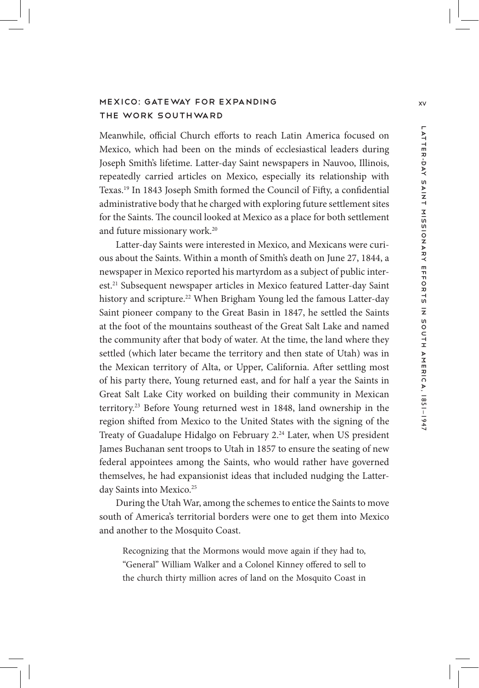# MEXICO: GATEWAY FOR EXPANDING XV XV XV XV XV the Work Southward

Meanwhile, official Church efforts to reach Latin America focused on Mexico, which had been on the minds of ecclesiastical leaders during Joseph Smith's lifetime. Latter-day Saint newspapers in Nauvoo, Illinois, repeatedly carried articles on Mexico, especially its relationship with Texas.19 In 1843 Joseph Smith formed the Council of Fifty, a confidential administrative body that he charged with exploring future settlement sites for the Saints. The council looked at Mexico as a place for both settlement and future missionary work.20

Latter-day Saints were interested in Mexico, and Mexicans were curious about the Saints. Within a month of Smith's death on June 27, 1844, a newspaper in Mexico reported his martyrdom as a subject of public interest.<sup>21</sup> Subsequent newspaper articles in Mexico featured Latter-day Saint history and scripture.<sup>22</sup> When Brigham Young led the famous Latter-day Saint pioneer company to the Great Basin in 1847, he settled the Saints at the foot of the mountains southeast of the Great Salt Lake and named the community after that body of water. At the time, the land where they settled (which later became the territory and then state of Utah) was in the Mexican territory of Alta, or Upper, California. After settling most of his party there, Young returned east, and for half a year the Saints in Great Salt Lake City worked on building their community in Mexican territory.23 Before Young returned west in 1848, land ownership in the region shifted from Mexico to the United States with the signing of the Treaty of Guadalupe Hidalgo on February 2.<sup>24</sup> Later, when US president James Buchanan sent troops to Utah in 1857 to ensure the seating of new federal appointees among the Saints, who would rather have governed themselves, he had expansionist ideas that included nudging the Latterday Saints into Mexico.<sup>25</sup>

During the Utah War, among the schemes to entice the Saints to move south of America's territorial borders were one to get them into Mexico and another to the Mosquito Coast.

Recognizing that the Mormons would move again if they had to, "General" William Walker and a Colonel Kinney offered to sell to the church thirty million acres of land on the Mosquito Coast in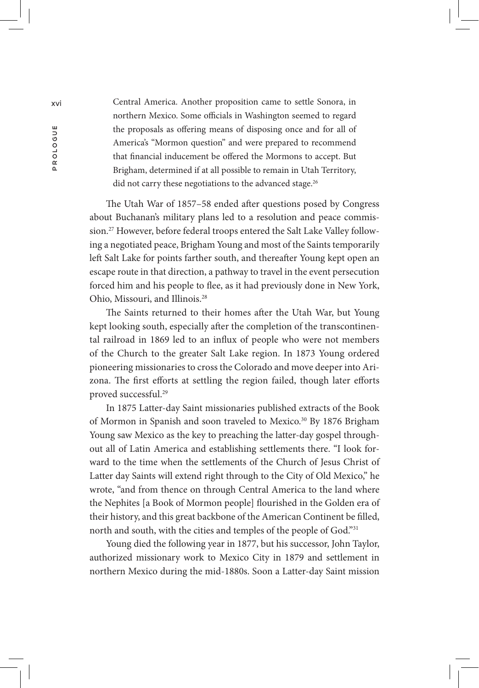xvi Central America. Another proposition came to settle Sonora, in northern Mexico. Some officials in Washington seemed to regard the proposals as offering means of disposing once and for all of America's "Mormon question" and were prepared to recommend that financial inducement be offered the Mormons to accept. But Brigham, determined if at all possible to remain in Utah Territory, did not carry these negotiations to the advanced stage.<sup>26</sup>

> The Utah War of 1857–58 ended after questions posed by Congress about Buchanan's military plans led to a resolution and peace commission.<sup>27</sup> However, before federal troops entered the Salt Lake Valley following a negotiated peace, Brigham Young and most of the Saints temporarily left Salt Lake for points farther south, and thereafter Young kept open an escape route in that direction, a pathway to travel in the event persecution forced him and his people to flee, as it had previously done in New York, Ohio, Missouri, and Illinois.28

> The Saints returned to their homes after the Utah War, but Young kept looking south, especially after the completion of the transcontinental railroad in 1869 led to an influx of people who were not members of the Church to the greater Salt Lake region. In 1873 Young ordered pioneering missionaries to cross the Colorado and move deeper into Arizona. The first efforts at settling the region failed, though later efforts proved successful.29

> In 1875 Latter-day Saint missionaries published extracts of the Book of Mormon in Spanish and soon traveled to Mexico.<sup>30</sup> By 1876 Brigham Young saw Mexico as the key to preaching the latter-day gospel throughout all of Latin America and establishing settlements there. "I look forward to the time when the settlements of the Church of Jesus Christ of Latter day Saints will extend right through to the City of Old Mexico," he wrote, "and from thence on through Central America to the land where the Nephites [a Book of Mormon people] flourished in the Golden era of their history, and this great backbone of the American Continent be filled, north and south, with the cities and temples of the people of God."<sup>31</sup>

> Young died the following year in 1877, but his successor, John Taylor, authorized missionary work to Mexico City in 1879 and settlement in northern Mexico during the mid-1880s. Soon a Latter-day Saint mission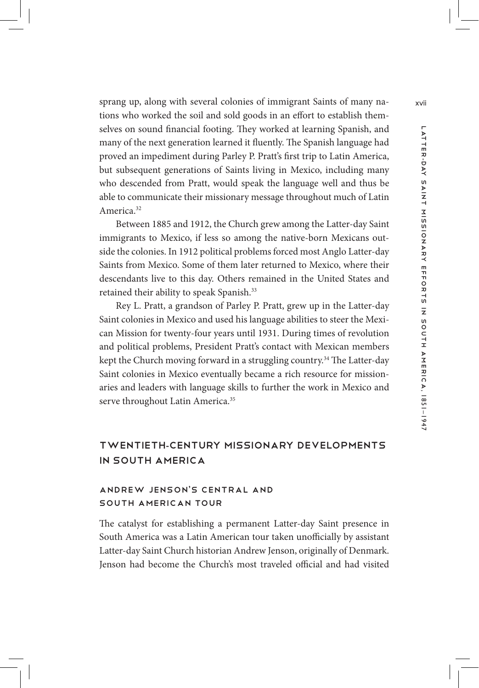sprang up, along with several colonies of immigrant Saints of many nations who worked the soil and sold goods in an effort to establish themselves on sound financial footing. They worked at learning Spanish, and many of the next generation learned it fluently. The Spanish language had proved an impediment during Parley P. Pratt's first trip to Latin America, but subsequent generations of Saints living in Mexico, including many who descended from Pratt, would speak the language well and thus be able to communicate their missionary message throughout much of Latin America.32

Between 1885 and 1912, the Church grew among the Latter-day Saint immigrants to Mexico, if less so among the native-born Mexicans outside the colonies. In 1912 political problems forced most Anglo Latter-day Saints from Mexico. Some of them later returned to Mexico, where their descendants live to this day. Others remained in the United States and retained their ability to speak Spanish.<sup>33</sup>

Rey L. Pratt, a grandson of Parley P. Pratt, grew up in the Latter-day Saint colonies in Mexico and used his language abilities to steer the Mexican Mission for twenty-four years until 1931. During times of revolution and political problems, President Pratt's contact with Mexican members kept the Church moving forward in a struggling country.<sup>34</sup> The Latter-day Saint colonies in Mexico eventually became a rich resource for missionaries and leaders with language skills to further the work in Mexico and serve throughout Latin America.<sup>35</sup>

# Twentieth-Century Missionary Developments in South America

# Andrew Jenson's Central and South American Tour

The catalyst for establishing a permanent Latter-day Saint presence in South America was a Latin American tour taken unofficially by assistant Latter-day Saint Church historian Andrew Jenson, originally of Denmark. Jenson had become the Church's most traveled official and had visited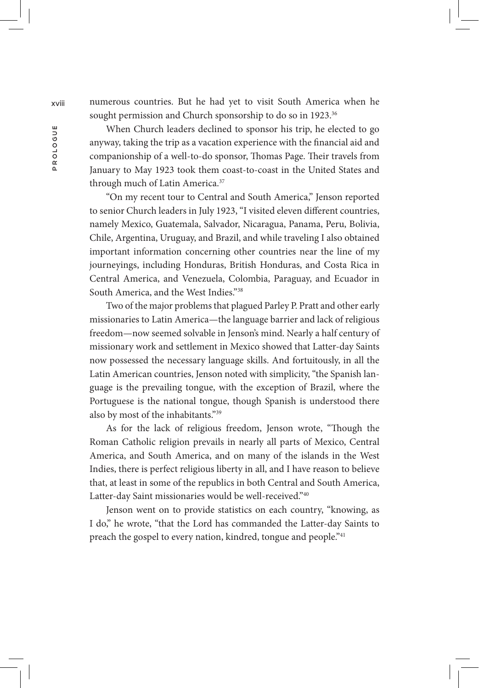xviii numerous countries. But he had yet to visit South America when he sought permission and Church sponsorship to do so in 1923.<sup>36</sup>

> When Church leaders declined to sponsor his trip, he elected to go anyway, taking the trip as a vacation experience with the financial aid and companionship of a well-to-do sponsor, Thomas Page. Their travels from January to May 1923 took them coast-to-coast in the United States and through much of Latin America.<sup>37</sup>

> "On my recent tour to Central and South America," Jenson reported to senior Church leaders in July 1923, "I visited eleven different countries, namely Mexico, Guatemala, Salvador, Nicaragua, Panama, Peru, Bolivia, Chile, Argentina, Uruguay, and Brazil, and while traveling I also obtained important information concerning other countries near the line of my journeyings, including Honduras, British Honduras, and Costa Rica in Central America, and Venezuela, Colombia, Paraguay, and Ecuador in South America, and the West Indies."38

> Two of the major problems that plagued Parley P. Pratt and other early missionaries to Latin America—the language barrier and lack of religious freedom—now seemed solvable in Jenson's mind. Nearly a half century of missionary work and settlement in Mexico showed that Latter-day Saints now possessed the necessary language skills. And fortuitously, in all the Latin American countries, Jenson noted with simplicity, "the Spanish language is the prevailing tongue, with the exception of Brazil, where the Portuguese is the national tongue, though Spanish is understood there also by most of the inhabitants."39

> As for the lack of religious freedom, Jenson wrote, "Though the Roman Catholic religion prevails in nearly all parts of Mexico, Central America, and South America, and on many of the islands in the West Indies, there is perfect religious liberty in all, and I have reason to believe that, at least in some of the republics in both Central and South America, Latter-day Saint missionaries would be well-received."40

> Jenson went on to provide statistics on each country, "knowing, as I do," he wrote, "that the Lord has commanded the Latter-day Saints to preach the gospel to every nation, kindred, tongue and people."<sup>41</sup>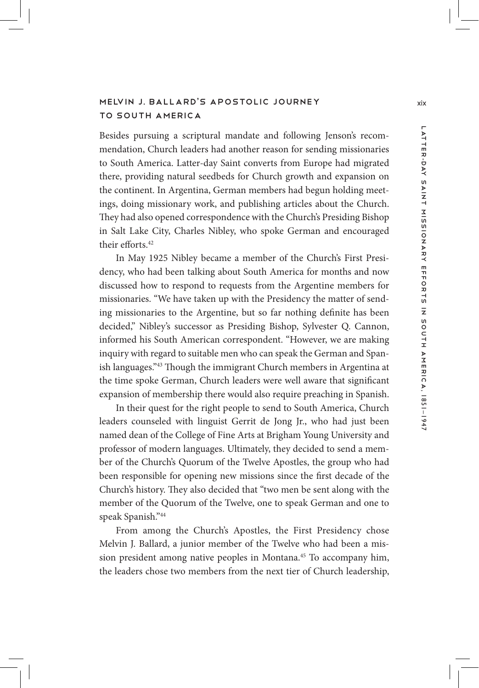# MELVIN J. BALLARD'S APOSTOLIC JOURNEY Xix to South America

Besides pursuing a scriptural mandate and following Jenson's recommendation, Church leaders had another reason for sending missionaries to South America. Latter-day Saint converts from Europe had migrated there, providing natural seedbeds for Church growth and expansion on the continent. In Argentina, German members had begun holding meetings, doing missionary work, and publishing articles about the Church. They had also opened correspondence with the Church's Presiding Bishop in Salt Lake City, Charles Nibley, who spoke German and encouraged their efforts.42

In May 1925 Nibley became a member of the Church's First Presidency, who had been talking about South America for months and now discussed how to respond to requests from the Argentine members for missionaries. "We have taken up with the Presidency the matter of sending missionaries to the Argentine, but so far nothing definite has been decided," Nibley's successor as Presiding Bishop, Sylvester Q. Cannon, informed his South American correspondent. "However, we are making inquiry with regard to suitable men who can speak the German and Spanish languages."43 Though the immigrant Church members in Argentina at the time spoke German, Church leaders were well aware that significant expansion of membership there would also require preaching in Spanish.

In their quest for the right people to send to South America, Church leaders counseled with linguist Gerrit de Jong Jr., who had just been named dean of the College of Fine Arts at Brigham Young University and professor of modern languages. Ultimately, they decided to send a member of the Church's Quorum of the Twelve Apostles, the group who had been responsible for opening new missions since the first decade of the Church's history. They also decided that "two men be sent along with the member of the Quorum of the Twelve, one to speak German and one to speak Spanish."44

From among the Church's Apostles, the First Presidency chose Melvin J. Ballard, a junior member of the Twelve who had been a mission president among native peoples in Montana.<sup>45</sup> To accompany him, the leaders chose two members from the next tier of Church leadership,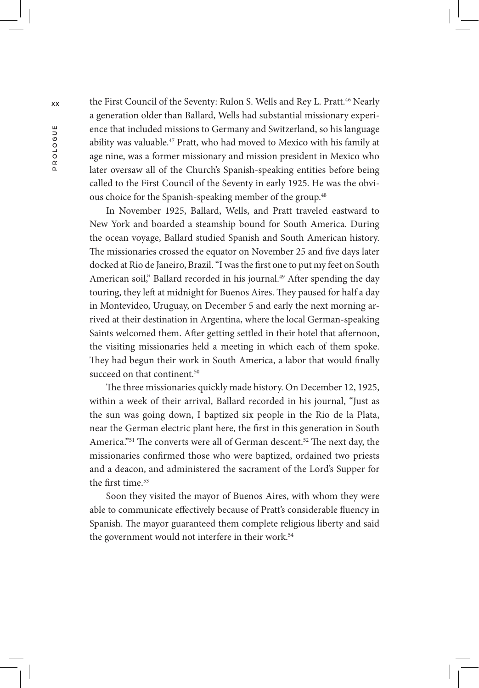the First Council of the Seventy: Rulon S. Wells and Rey L. Pratt.<sup>46</sup> Nearly<br>a generation older than Ballard, Wells had substantial missionary experi-<br>ence that included missions to Germany and Switzerland, so his languag a generation older than Ballard, Wells had substantial missionary experience that included missions to Germany and Switzerland, so his language ability was valuable.47 Pratt, who had moved to Mexico with his family at age nine, was a former missionary and mission president in Mexico who later oversaw all of the Church's Spanish-speaking entities before being called to the First Council of the Seventy in early 1925. He was the obvious choice for the Spanish-speaking member of the group.<sup>48</sup>

> In November 1925, Ballard, Wells, and Pratt traveled eastward to New York and boarded a steamship bound for South America. During the ocean voyage, Ballard studied Spanish and South American history. The missionaries crossed the equator on November 25 and five days later docked at Rio de Janeiro, Brazil. "I was the first one to put my feet on South American soil," Ballard recorded in his journal.<sup>49</sup> After spending the day touring, they left at midnight for Buenos Aires. They paused for half a day in Montevideo, Uruguay, on December 5 and early the next morning arrived at their destination in Argentina, where the local German-speaking Saints welcomed them. After getting settled in their hotel that afternoon, the visiting missionaries held a meeting in which each of them spoke. They had begun their work in South America, a labor that would finally succeed on that continent.<sup>50</sup>

> The three missionaries quickly made history. On December 12, 1925, within a week of their arrival, Ballard recorded in his journal, "Just as the sun was going down, I baptized six people in the Rio de la Plata, near the German electric plant here, the first in this generation in South America."<sup>51</sup> The converts were all of German descent.<sup>52</sup> The next day, the missionaries confirmed those who were baptized, ordained two priests and a deacon, and administered the sacrament of the Lord's Supper for the first time.<sup>53</sup>

> Soon they visited the mayor of Buenos Aires, with whom they were able to communicate effectively because of Pratt's considerable fluency in Spanish. The mayor guaranteed them complete religious liberty and said the government would not interfere in their work.<sup>54</sup>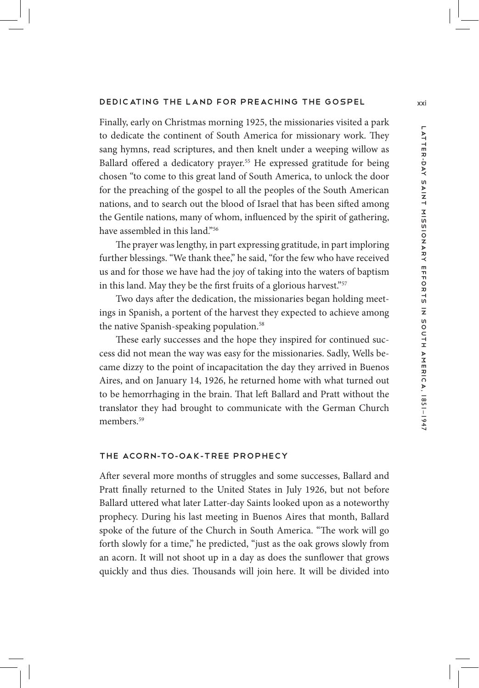#### DEDICATING THE LAND FOR PREACHING THE GOSPEL xxi

Finally, early on Christmas morning 1925, the missionaries visited a park to dedicate the continent of South America for missionary work. They sang hymns, read scriptures, and then knelt under a weeping willow as Ballard offered a dedicatory prayer.<sup>55</sup> He expressed gratitude for being chosen "to come to this great land of South America, to unlock the door for the preaching of the gospel to all the peoples of the South American nations, and to search out the blood of Israel that has been sifted among the Gentile nations, many of whom, influenced by the spirit of gathering, have assembled in this land."56

The prayer was lengthy, in part expressing gratitude, in part imploring further blessings. "We thank thee," he said, "for the few who have received us and for those we have had the joy of taking into the waters of baptism in this land. May they be the first fruits of a glorious harvest."<sup>57</sup>

Two days after the dedication, the missionaries began holding meetings in Spanish, a portent of the harvest they expected to achieve among the native Spanish-speaking population.<sup>58</sup>

These early successes and the hope they inspired for continued success did not mean the way was easy for the missionaries. Sadly, Wells became dizzy to the point of incapacitation the day they arrived in Buenos Aires, and on January 14, 1926, he returned home with what turned out to be hemorrhaging in the brain. That left Ballard and Pratt without the translator they had brought to communicate with the German Church members<sup>59</sup>

## The Acorn-to-Oak-Tree Prophecy

After several more months of struggles and some successes, Ballard and Pratt finally returned to the United States in July 1926, but not before Ballard uttered what later Latter-day Saints looked upon as a noteworthy prophecy. During his last meeting in Buenos Aires that month, Ballard spoke of the future of the Church in South America. "The work will go forth slowly for a time," he predicted, "just as the oak grows slowly from an acorn. It will not shoot up in a day as does the sunflower that grows quickly and thus dies. Thousands will join here. It will be divided into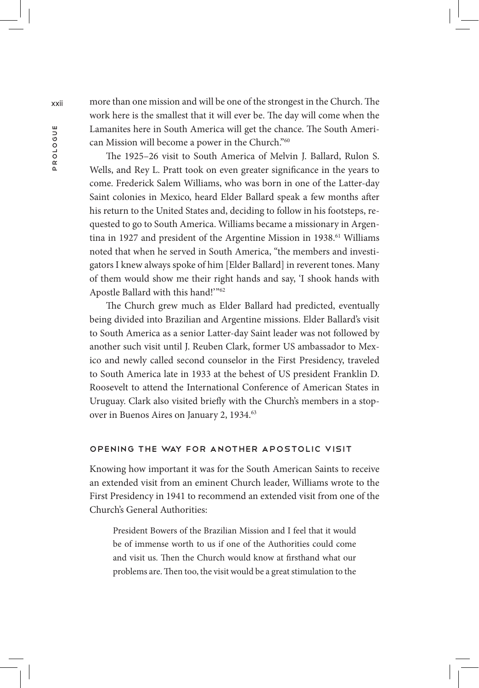xxii more than one mission and will be one of the strongest in the Church. The work here is the smallest that it will ever be. The day will come when the Lamanites here in South America will get the chance. The South American Mission will become a power in the Church."60

> The 1925–26 visit to South America of Melvin J. Ballard, Rulon S. Wells, and Rey L. Pratt took on even greater significance in the years to come. Frederick Salem Williams, who was born in one of the Latter-day Saint colonies in Mexico, heard Elder Ballard speak a few months after his return to the United States and, deciding to follow in his footsteps, requested to go to South America. Williams became a missionary in Argentina in 1927 and president of the Argentine Mission in 1938.<sup>61</sup> Williams noted that when he served in South America, "the members and investigators I knew always spoke of him [Elder Ballard] in reverent tones. Many of them would show me their right hands and say, 'I shook hands with Apostle Ballard with this hand!'"62

> The Church grew much as Elder Ballard had predicted, eventually being divided into Brazilian and Argentine missions. Elder Ballard's visit to South America as a senior Latter-day Saint leader was not followed by another such visit until J. Reuben Clark, former US ambassador to Mexico and newly called second counselor in the First Presidency, traveled to South America late in 1933 at the behest of US president Franklin D. Roosevelt to attend the International Conference of American States in Uruguay. Clark also visited briefly with the Church's members in a stopover in Buenos Aires on January 2, 1934.<sup>63</sup>

#### Opening the Way for Another Apostolic Visit

Knowing how important it was for the South American Saints to receive an extended visit from an eminent Church leader, Williams wrote to the First Presidency in 1941 to recommend an extended visit from one of the Church's General Authorities:

President Bowers of the Brazilian Mission and I feel that it would be of immense worth to us if one of the Authorities could come and visit us. Then the Church would know at firsthand what our problems are. Then too, the visit would be a great stimulation to the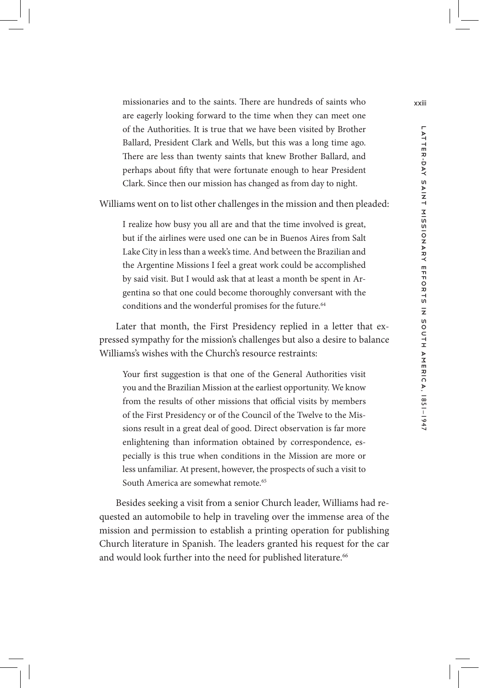missionaries and to the saints. There are hundreds of saints who xxiii are eagerly looking forward to the time when they can meet one of the Authorities. It is true that we have been visited by Brother Ballard, President Clark and Wells, but this was a long time ago. There are less than twenty saints that knew Brother Ballard, and perhaps about fifty that were fortunate enough to hear President Clark. Since then our mission has changed as from day to night.

Williams went on to list other challenges in the mission and then pleaded:

I realize how busy you all are and that the time involved is great, but if the airlines were used one can be in Buenos Aires from Salt Lake City in less than a week's time. And between the Brazilian and the Argentine Missions I feel a great work could be accomplished by said visit. But I would ask that at least a month be spent in Argentina so that one could become thoroughly conversant with the conditions and the wonderful promises for the future.<sup>64</sup>

Later that month, the First Presidency replied in a letter that expressed sympathy for the mission's challenges but also a desire to balance Williams's wishes with the Church's resource restraints:

Your first suggestion is that one of the General Authorities visit you and the Brazilian Mission at the earliest opportunity. We know from the results of other missions that official visits by members of the First Presidency or of the Council of the Twelve to the Missions result in a great deal of good. Direct observation is far more enlightening than information obtained by correspondence, especially is this true when conditions in the Mission are more or less unfamiliar. At present, however, the prospects of such a visit to South America are somewhat remote.<sup>65</sup>

Besides seeking a visit from a senior Church leader, Williams had requested an automobile to help in traveling over the immense area of the mission and permission to establish a printing operation for publishing Church literature in Spanish. The leaders granted his request for the car and would look further into the need for published literature.<sup>66</sup>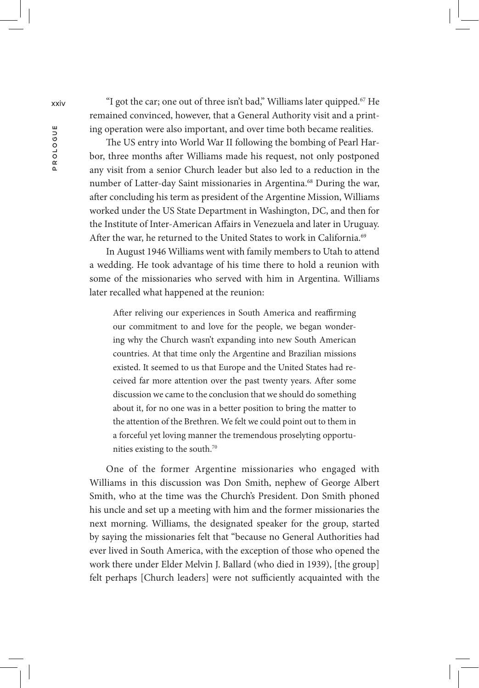xxiv "I got the car; one out of three isn't bad," Williams later quipped.67 He remained convinced, however, that a General Authority visit and a printing operation were also important, and over time both became realities.

> The US entry into World War II following the bombing of Pearl Harbor, three months after Williams made his request, not only postponed any visit from a senior Church leader but also led to a reduction in the number of Latter-day Saint missionaries in Argentina.<sup>68</sup> During the war, after concluding his term as president of the Argentine Mission, Williams worked under the US State Department in Washington, DC, and then for the Institute of Inter-American Affairs in Venezuela and later in Uruguay. After the war, he returned to the United States to work in California.<sup>69</sup>

> In August 1946 Williams went with family members to Utah to attend a wedding. He took advantage of his time there to hold a reunion with some of the missionaries who served with him in Argentina. Williams later recalled what happened at the reunion:

After reliving our experiences in South America and reaffirming our commitment to and love for the people, we began wondering why the Church wasn't expanding into new South American countries. At that time only the Argentine and Brazilian missions existed. It seemed to us that Europe and the United States had received far more attention over the past twenty years. After some discussion we came to the conclusion that we should do something about it, for no one was in a better position to bring the matter to the attention of the Brethren. We felt we could point out to them in a forceful yet loving manner the tremendous proselyting opportunities existing to the south.70

One of the former Argentine missionaries who engaged with Williams in this discussion was Don Smith, nephew of George Albert Smith, who at the time was the Church's President. Don Smith phoned his uncle and set up a meeting with him and the former missionaries the next morning. Williams, the designated speaker for the group, started by saying the missionaries felt that "because no General Authorities had ever lived in South America, with the exception of those who opened the work there under Elder Melvin J. Ballard (who died in 1939), [the group] felt perhaps [Church leaders] were not sufficiently acquainted with the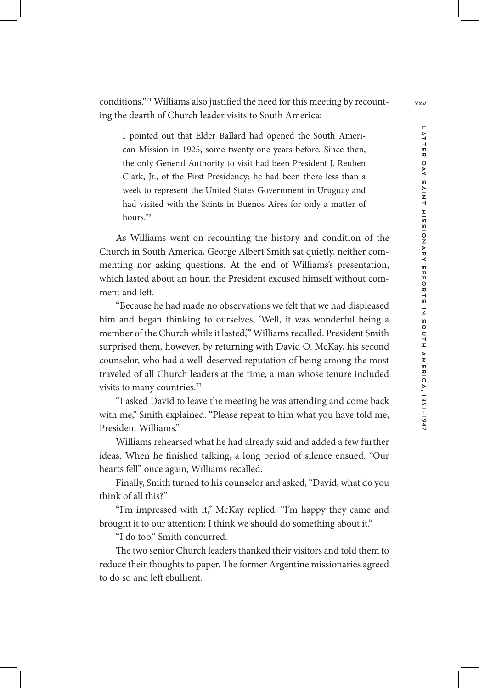conditions."<sup>71</sup> Williams also justified the need for this meeting by recount- $_{xxv}$ ing the dearth of Church leader visits to South America:

I pointed out that Elder Ballard had opened the South American Mission in 1925, some twenty-one years before. Since then, the only General Authority to visit had been President J. Reuben Clark, Jr., of the First Presidency; he had been there less than a week to represent the United States Government in Uruguay and had visited with the Saints in Buenos Aires for only a matter of hours.72

As Williams went on recounting the history and condition of the Church in South America, George Albert Smith sat quietly, neither commenting nor asking questions. At the end of Williams's presentation, which lasted about an hour, the President excused himself without comment and left.

"Because he had made no observations we felt that we had displeased him and began thinking to ourselves, 'Well, it was wonderful being a member of the Church while it lasted,'" Williams recalled. President Smith surprised them, however, by returning with David O. McKay, his second counselor, who had a well-deserved reputation of being among the most traveled of all Church leaders at the time, a man whose tenure included visits to many countries.73

"I asked David to leave the meeting he was attending and come back with me," Smith explained. "Please repeat to him what you have told me, President Williams."

Williams rehearsed what he had already said and added a few further ideas. When he finished talking, a long period of silence ensued. "Our hearts fell" once again, Williams recalled.

Finally, Smith turned to his counselor and asked, "David, what do you think of all this?"

"I'm impressed with it," McKay replied. "I'm happy they came and brought it to our attention; I think we should do something about it."

"I do too," Smith concurred.

The two senior Church leaders thanked their visitors and told them to reduce their thoughts to paper. The former Argentine missionaries agreed to do so and left ebullient.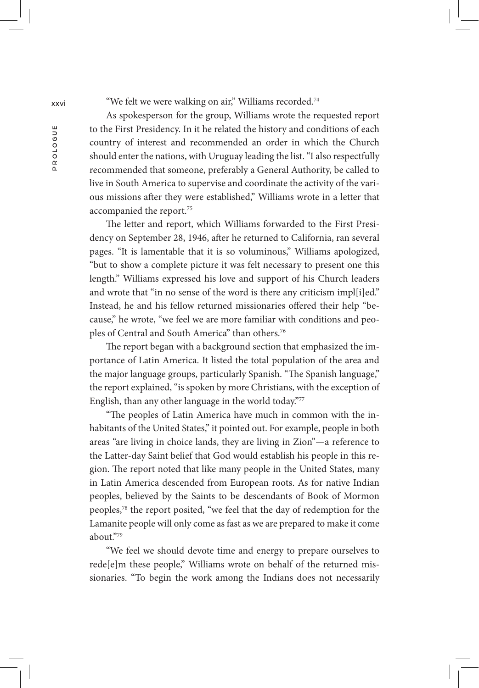xxvi "We felt we were walking on air," Williams recorded.<sup>74</sup>

As spokesperson for the group, Williams wrote the requested report to the First Presidency. In it he related the history and conditions of each country of interest and recommended an order in which the Church should enter the nations, with Uruguay leading the list. "I also respectfully recommended that someone, preferably a General Authority, be called to live in South America to supervise and coordinate the activity of the various missions after they were established," Williams wrote in a letter that accompanied the report.75

The letter and report, which Williams forwarded to the First Presidency on September 28, 1946, after he returned to California, ran several pages. "It is lamentable that it is so voluminous," Williams apologized, "but to show a complete picture it was felt necessary to present one this length." Williams expressed his love and support of his Church leaders and wrote that "in no sense of the word is there any criticism impl[i]ed." Instead, he and his fellow returned missionaries offered their help "because," he wrote, "we feel we are more familiar with conditions and peoples of Central and South America" than others.76

The report began with a background section that emphasized the importance of Latin America. It listed the total population of the area and the major language groups, particularly Spanish. "The Spanish language," the report explained, "is spoken by more Christians, with the exception of English, than any other language in the world today."77

"The peoples of Latin America have much in common with the inhabitants of the United States," it pointed out. For example, people in both areas "are living in choice lands, they are living in Zion"—a reference to the Latter-day Saint belief that God would establish his people in this region. The report noted that like many people in the United States, many in Latin America descended from European roots. As for native Indian peoples, believed by the Saints to be descendants of Book of Mormon peoples,78 the report posited, "we feel that the day of redemption for the Lamanite people will only come as fast as we are prepared to make it come  $ab$ out."79

"We feel we should devote time and energy to prepare ourselves to rede[e]m these people," Williams wrote on behalf of the returned missionaries. "To begin the work among the Indians does not necessarily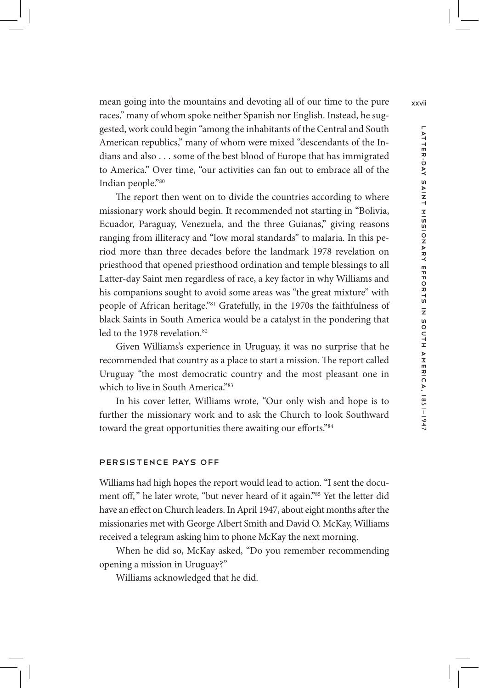mean going into the mountains and devoting all of our time to the pure xxvii races," many of whom spoke neither Spanish nor English. Instead, he suggested, work could begin "among the inhabitants of the Central and South American republics," many of whom were mixed "descendants of the Indians and also . . . some of the best blood of Europe that has immigrated to America." Over time, "our activities can fan out to embrace all of the Indian people."80

The report then went on to divide the countries according to where missionary work should begin. It recommended not starting in "Bolivia, Ecuador, Paraguay, Venezuela, and the three Guianas," giving reasons ranging from illiteracy and "low moral standards" to malaria. In this period more than three decades before the landmark 1978 revelation on priesthood that opened priesthood ordination and temple blessings to all Latter-day Saint men regardless of race, a key factor in why Williams and his companions sought to avoid some areas was "the great mixture" with people of African heritage."81 Gratefully, in the 1970s the faithfulness of black Saints in South America would be a catalyst in the pondering that led to the 1978 revelation.<sup>82</sup>

Given Williams's experience in Uruguay, it was no surprise that he recommended that country as a place to start a mission. The report called Uruguay "the most democratic country and the most pleasant one in which to live in South America."83

In his cover letter, Williams wrote, "Our only wish and hope is to further the missionary work and to ask the Church to look Southward toward the great opportunities there awaiting our efforts."84

#### Persistence Pays Off

Williams had high hopes the report would lead to action. "I sent the document off," he later wrote, "but never heard of it again."<sup>85</sup> Yet the letter did have an effect on Church leaders. In April 1947, about eight months after the missionaries met with George Albert Smith and David O. McKay, Williams received a telegram asking him to phone McKay the next morning.

When he did so, McKay asked, "Do you remember recommending opening a mission in Uruguay?"

Williams acknowledged that he did.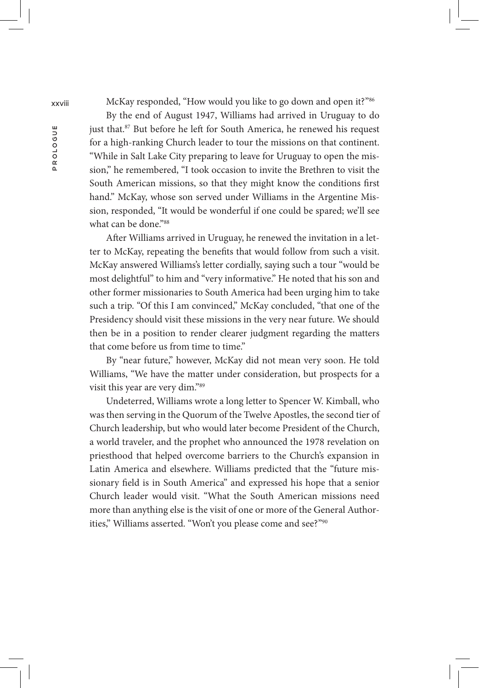xxviii McKay responded, "How would you like to go down and open it?"86

By the end of August 1947, Williams had arrived in Uruguay to do just that.<sup>87</sup> But before he left for South America, he renewed his request for a high-ranking Church leader to tour the missions on that continent. "While in Salt Lake City preparing to leave for Uruguay to open the mission," he remembered, "I took occasion to invite the Brethren to visit the South American missions, so that they might know the conditions first hand." McKay, whose son served under Williams in the Argentine Mission, responded, "It would be wonderful if one could be spared; we'll see what can be done."88

After Williams arrived in Uruguay, he renewed the invitation in a letter to McKay, repeating the benefits that would follow from such a visit. McKay answered Williams's letter cordially, saying such a tour "would be most delightful" to him and "very informative." He noted that his son and other former missionaries to South America had been urging him to take such a trip. "Of this I am convinced," McKay concluded, "that one of the Presidency should visit these missions in the very near future. We should then be in a position to render clearer judgment regarding the matters that come before us from time to time."

By "near future," however, McKay did not mean very soon. He told Williams, "We have the matter under consideration, but prospects for a visit this year are very dim."89

Undeterred, Williams wrote a long letter to Spencer W. Kimball, who was then serving in the Quorum of the Twelve Apostles, the second tier of Church leadership, but who would later become President of the Church, a world traveler, and the prophet who announced the 1978 revelation on priesthood that helped overcome barriers to the Church's expansion in Latin America and elsewhere. Williams predicted that the "future missionary field is in South America" and expressed his hope that a senior Church leader would visit. "What the South American missions need more than anything else is the visit of one or more of the General Authorities," Williams asserted. "Won't you please come and see?"<sup>90</sup>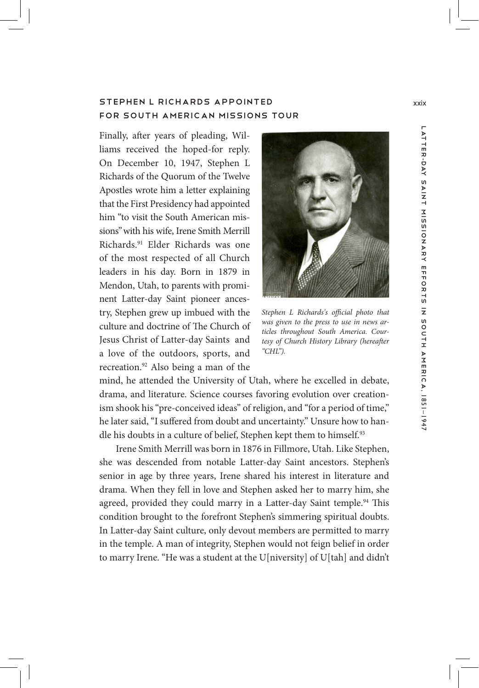# STEPHEN L RICHARDS APPOINTED Xxix for South American Missions Tour

Finally, after years of pleading, Williams received the hoped-for reply. On December 10, 1947, Stephen L Richards of the Quorum of the Twelve Apostles wrote him a letter explaining that the First Presidency had appointed him "to visit the South American missions"with his wife, Irene Smith Merrill Richards.91 Elder Richards was one of the most respected of all Church leaders in his day. Born in 1879 in Mendon, Utah, to parents with prominent Latter-day Saint pioneer ancestry, Stephen grew up imbued with the culture and doctrine of The Church of Jesus Christ of Latter-day Saints and a love of the outdoors, sports, and recreation.92 Also being a man of the



*Stephen L Richards's official photo that was given to the press to use in news articles throughout South America. Courtesy of Church History Library (hereafter "CHL").*

mind, he attended the University of Utah, where he excelled in debate, drama, and literature. Science courses favoring evolution over creationism shook his "pre-conceived ideas" of religion, and "for a period of time," he later said, "I suffered from doubt and uncertainty." Unsure how to handle his doubts in a culture of belief, Stephen kept them to himself.<sup>93</sup>

Irene Smith Merrill was born in 1876 in Fillmore, Utah. Like Stephen, she was descended from notable Latter-day Saint ancestors. Stephen's senior in age by three years, Irene shared his interest in literature and drama. When they fell in love and Stephen asked her to marry him, she agreed, provided they could marry in a Latter-day Saint temple.<sup>94</sup> This condition brought to the forefront Stephen's simmering spiritual doubts. In Latter-day Saint culture, only devout members are permitted to marry in the temple. A man of integrity, Stephen would not feign belief in order to marry Irene. "He was a student at the U[niversity] of U[tah] and didn't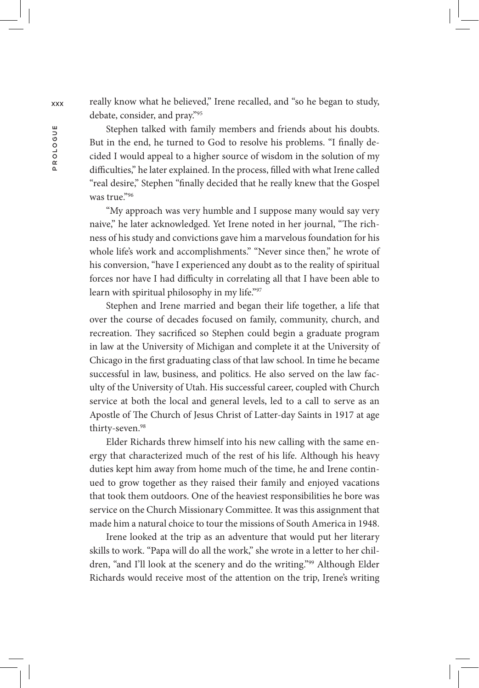debate, consider, and pray."95

really know what he believed," Irene recalled, and "so he began to study,<br>debate, consider, and pray."<sup>95</sup><br>But in the end, he turned to God to resolve his problems. "I finally de-<br>cided I would appeal to a higher source o Stephen talked with family members and friends about his doubts. But in the end, he turned to God to resolve his problems. "I finally decided I would appeal to a higher source of wisdom in the solution of my difficulties," he later explained. In the process, filled with what Irene called "real desire," Stephen "finally decided that he really knew that the Gospel was true<sup>"96</sup>

> "My approach was very humble and I suppose many would say very naive," he later acknowledged. Yet Irene noted in her journal, "The richness of his study and convictions gave him a marvelous foundation for his whole life's work and accomplishments." "Never since then," he wrote of his conversion, "have I experienced any doubt as to the reality of spiritual forces nor have I had difficulty in correlating all that I have been able to learn with spiritual philosophy in my life."97

> Stephen and Irene married and began their life together, a life that over the course of decades focused on family, community, church, and recreation. They sacrificed so Stephen could begin a graduate program in law at the University of Michigan and complete it at the University of Chicago in the first graduating class of that law school. In time he became successful in law, business, and politics. He also served on the law faculty of the University of Utah. His successful career, coupled with Church service at both the local and general levels, led to a call to serve as an Apostle of The Church of Jesus Christ of Latter-day Saints in 1917 at age thirty-seven.<sup>98</sup>

> Elder Richards threw himself into his new calling with the same energy that characterized much of the rest of his life. Although his heavy duties kept him away from home much of the time, he and Irene continued to grow together as they raised their family and enjoyed vacations that took them outdoors. One of the heaviest responsibilities he bore was service on the Church Missionary Committee. It was this assignment that made him a natural choice to tour the missions of South America in 1948.

> Irene looked at the trip as an adventure that would put her literary skills to work. "Papa will do all the work," she wrote in a letter to her children, "and I'll look at the scenery and do the writing."99 Although Elder Richards would receive most of the attention on the trip, Irene's writing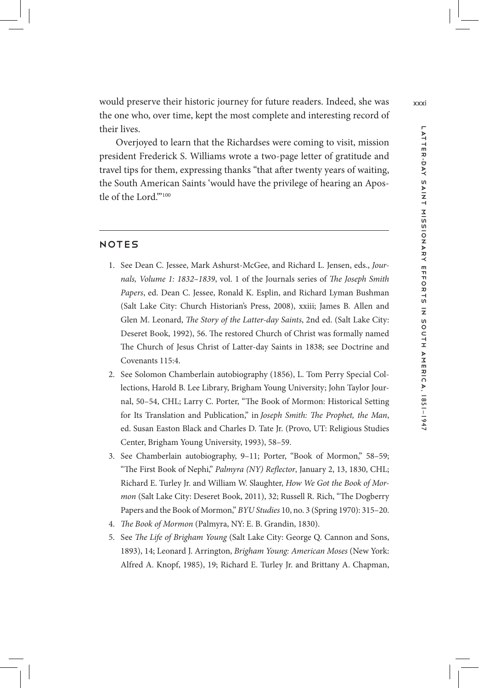would preserve their historic journey for future readers. Indeed, she was xxxi the one who, over time, kept the most complete and interesting record of their lives.

Overjoyed to learn that the Richardses were coming to visit, mission president Frederick S. Williams wrote a two-page letter of gratitude and travel tips for them, expressing thanks "that after twenty years of waiting, the South American Saints 'would have the privilege of hearing an Apostle of the Lord."100

# **NOTES**

- 1. See Dean C. Jessee, Mark Ashurst-McGee, and Richard L. Jensen, eds., *Journals, Volume 1: 1832–1839*, vol. 1 of the Journals series of *The Joseph Smith Papers*, ed. Dean C. Jessee, Ronald K. Esplin, and Richard Lyman Bushman (Salt Lake City: Church Historian's Press, 2008), xxiii; James B. Allen and Glen M. Leonard, *The Story of the Latter-day Saints*, 2nd ed. (Salt Lake City: Deseret Book, 1992), 56. The restored Church of Christ was formally named The Church of Jesus Christ of Latter-day Saints in 1838; see Doctrine and Covenants 115:4.
- 2. See Solomon Chamberlain autobiography (1856), L. Tom Perry Special Collections, Harold B. Lee Library, Brigham Young University; John Taylor Journal, 50–54, CHL; Larry C. Porter, "The Book of Mormon: Historical Setting for Its Translation and Publication," in *Joseph Smith: The Prophet, the Man*, ed. Susan Easton Black and Charles D. Tate Jr. (Provo, UT: Religious Studies Center, Brigham Young University, 1993), 58–59.
- 3. See Chamberlain autobiography, 9–11; Porter, "Book of Mormon," 58–59; "The First Book of Nephi," *Palmyra (NY) Reflector*, January 2, 13, 1830, CHL; Richard E. Turley Jr. and William W. Slaughter, *How We Got the Book of Mormon* (Salt Lake City: Deseret Book, 2011), 32; Russell R. Rich, "The Dogberry Papers and the Book of Mormon," *BYU Studies* 10, no. 3 (Spring 1970): 315–20.
- 4. *The Book of Mormon* (Palmyra, NY: E. B. Grandin, 1830).
- 5. See *The Life of Brigham Young* (Salt Lake City: George Q. Cannon and Sons, 1893), 14; Leonard J. Arrington, *Brigham Young: American Moses* (New York: Alfred A. Knopf, 1985), 19; Richard E. Turley Jr. and Brittany A. Chapman,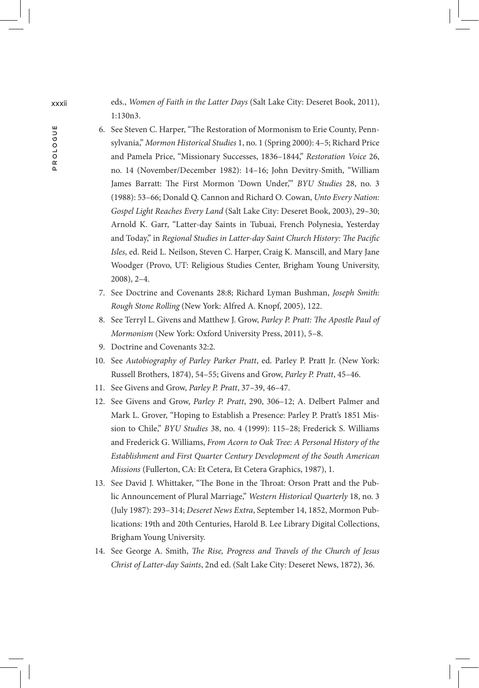xxxii eds., *Women of Faith in the Latter Days* (Salt Lake City: Deseret Book, 2011), 1:130n3.

- 6. See Steven C. Harper, "The Restoration of Mormonism to Erie County, Pennsylvania," *Mormon Historical Studies* 1, no. 1 (Spring 2000): 4–5; Richard Price and Pamela Price, "Missionary Successes, 1836–1844," *Restoration Voice* 26, no. 14 (November/December 1982): 14–16; John Devitry-Smith, "William James Barratt: The First Mormon 'Down Under,'" *BYU Studies* 28, no. 3 (1988): 53–66; Donald Q. Cannon and Richard O. Cowan, *Unto Every Nation: Gospel Light Reaches Every Land* (Salt Lake City: Deseret Book, 2003), 29–30; Arnold K. Garr, "Latter-day Saints in Tubuai, French Polynesia, Yesterday and Today," in *Regional Studies in Latter-day Saint Church History: The Pacific Isles*, ed. Reid L. Neilson, Steven C. Harper, Craig K. Manscill, and Mary Jane Woodger (Provo, UT: Religious Studies Center, Brigham Young University, 2008), 2–4.
- 7. See Doctrine and Covenants 28:8; Richard Lyman Bushman, *Joseph Smith: Rough Stone Rolling* (New York: Alfred A. Knopf, 2005), 122.
- 8. See Terryl L. Givens and Matthew J. Grow, *Parley P. Pratt: The Apostle Paul of Mormonism* (New York: Oxford University Press, 2011), 5–8.
- 9. Doctrine and Covenants 32:2.
- 10. See *Autobiography of Parley Parker Pratt*, ed. Parley P. Pratt Jr. (New York: Russell Brothers, 1874), 54–55; Givens and Grow, *Parley P. Pratt*, 45–46.
- 11. See Givens and Grow, *Parley P. Pratt*, 37–39, 46–47.
- 12. See Givens and Grow, *Parley P. Pratt*, 290, 306–12; A. Delbert Palmer and Mark L. Grover, "Hoping to Establish a Presence: Parley P. Pratt's 1851 Mission to Chile," *BYU Studies* 38, no. 4 (1999): 115–28; Frederick S. Williams and Frederick G. Williams, *From Acorn to Oak Tree: A Personal History of the Establishment and First Quarter Century Development of the South American Missions* (Fullerton, CA: Et Cetera, Et Cetera Graphics, 1987), 1.
- 13. See David J. Whittaker, "The Bone in the Throat: Orson Pratt and the Public Announcement of Plural Marriage," *Western Historical Quarterly* 18, no. 3 (July 1987): 293–314; *Deseret News Extra*, September 14, 1852, Mormon Publications: 19th and 20th Centuries, Harold B. Lee Library Digital Collections, Brigham Young University.
- 14. See George A. Smith, *The Rise, Progress and Travels of the Church of Jesus Christ of Latter-day Saints*, 2nd ed. (Salt Lake City: Deseret News, 1872), 36.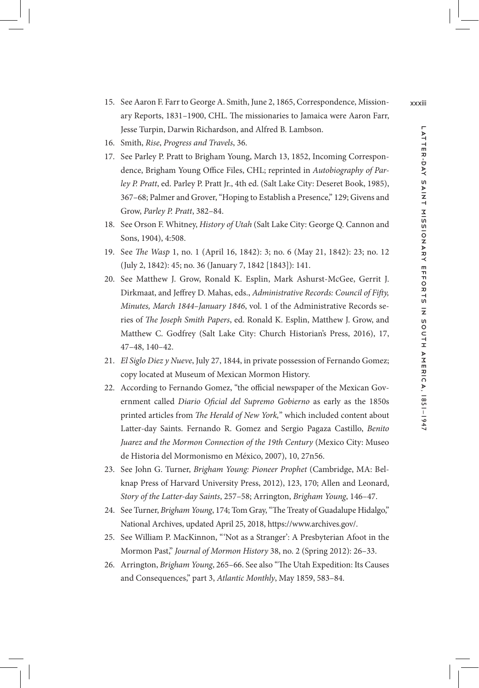- 15. See Aaron F. Farr to George A. Smith, June 2, 1865, Correspondence, Mission- xxxiii ary Reports, 1831–1900, CHL. The missionaries to Jamaica were Aaron Farr, Jesse Turpin, Darwin Richardson, and Alfred B. Lambson.
- 16. Smith, *Rise*, *Progress and Travels*, 36.
- 17. See Parley P. Pratt to Brigham Young, March 13, 1852, Incoming Correspondence, Brigham Young Office Files, CHL; reprinted in *Autobiography of Parley P. Pratt*, ed. Parley P. Pratt Jr., 4th ed. (Salt Lake City: Deseret Book, 1985), 367–68; Palmer and Grover, "Hoping to Establish a Presence," 129; Givens and Grow, *Parley P. Pratt*, 382–84.
- 18. See Orson F. Whitney, *History of Utah* (Salt Lake City: George Q. Cannon and Sons, 1904), 4:508.
- 19. See *The Wasp* 1, no. 1 (April 16, 1842): 3; no. 6 (May 21, 1842): 23; no. 12 (July 2, 1842): 45; no. 36 (January 7, 1842 [1843]): 141.
- 20. See Matthew J. Grow, Ronald K. Esplin, Mark Ashurst-McGee, Gerrit J. Dirkmaat, and Jeffrey D. Mahas, eds., *Administrative Records: Council of Fifty, Minutes, March 1844–January 1846*, vol. 1 of the Administrative Records series of *The Joseph Smith Papers*, ed. Ronald K. Esplin, Matthew J. Grow, and Matthew C. Godfrey (Salt Lake City: Church Historian's Press, 2016), 17, 47–48, 140–42.
- 21. *El Siglo Diez y Nueve*, July 27, 1844, in private possession of Fernando Gomez; copy located at Museum of Mexican Mormon History.
- 22. According to Fernando Gomez, "the official newspaper of the Mexican Government called *Diario Oficial del Supremo Gobierno* as early as the 1850s printed articles from *The Herald of New York,*" which included content about Latter-day Saints. Fernando R. Gomez and Sergio Pagaza Castillo, *Benito Juarez and the Mormon Connection of the 19th Century* (Mexico City: Museo de Historia del Mormonismo en México, 2007), 10, 27n56.
- 23. See John G. Turner, *Brigham Young: Pioneer Prophet* (Cambridge, MA: Belknap Press of Harvard University Press, 2012), 123, 170; Allen and Leonard, *Story of the Latter-day Saints*, 257–58; Arrington, *Brigham Young*, 146–47.
- 24. See Turner, *Brigham Young*, 174; Tom Gray, "The Treaty of Guadalupe Hidalgo," National Archives, updated April 25, 2018, https://www.archives.gov/.
- 25. See William P. MacKinnon, "'Not as a Stranger': A Presbyterian Afoot in the Mormon Past," *Journal of Mormon History* 38, no. 2 (Spring 2012): 26–33.
- 26. Arrington, *Brigham Young*, 265–66. See also "The Utah Expedition: Its Causes and Consequences," part 3, *Atlantic Monthly*, May 1859, 583–84.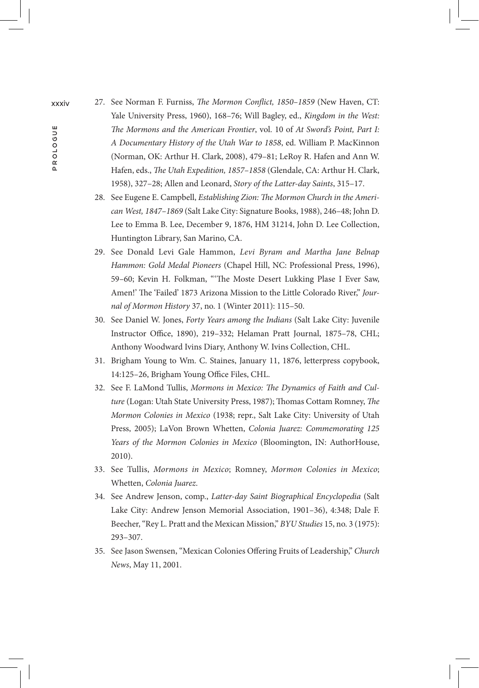- xxxiv 27. See Norman F. Furniss, *The Mormon Conflict, 1850–1859* (New Haven, CT: Yale University Press, 1960), 168–76; Will Bagley, ed., *Kingdom in the West: The Mormons and the American Frontier*, vol. 10 of *At Sword's Point, Part I: A Documentary History of the Utah War to 1858*, ed. William P. MacKinnon (Norman, OK: Arthur H. Clark, 2008), 479–81; LeRoy R. Hafen and Ann W. Hafen, eds., *The Utah Expedition, 1857–1858* (Glendale, CA: Arthur H. Clark, 1958), 327–28; Allen and Leonard, *Story of the Latter-day Saints*, 315–17.
	- 28. See Eugene E. Campbell, *Establishing Zion: The Mormon Church in the American West, 1847–1869* (Salt Lake City: Signature Books, 1988), 246–48; John D. Lee to Emma B. Lee, December 9, 1876, HM 31214, John D. Lee Collection, Huntington Library, San Marino, CA.
	- 29. See Donald Levi Gale Hammon, *Levi Byram and Martha Jane Belnap Hammon: Gold Medal Pioneers* (Chapel Hill, NC: Professional Press, 1996), 59–60; Kevin H. Folkman, "'The Moste Desert Lukking Plase I Ever Saw, Amen!' The 'Failed' 1873 Arizona Mission to the Little Colorado River," *Journal of Mormon History* 37, no. 1 (Winter 2011): 115–50.
	- 30. See Daniel W. Jones, *Forty Years among the Indians* (Salt Lake City: Juvenile Instructor Office, 1890), 219–332; Helaman Pratt Journal, 1875–78, CHL; Anthony Woodward Ivins Diary, Anthony W. Ivins Collection, CHL.
	- 31. Brigham Young to Wm. C. Staines, January 11, 1876, letterpress copybook, 14:125–26, Brigham Young Office Files, CHL.
	- 32. See F. LaMond Tullis, *Mormons in Mexico: The Dynamics of Faith and Culture* (Logan: Utah State University Press, 1987); Thomas Cottam Romney, *The Mormon Colonies in Mexico* (1938; repr., Salt Lake City: University of Utah Press, 2005); LaVon Brown Whetten, *Colonia Juarez: Commemorating 125 Years of the Mormon Colonies in Mexico* (Bloomington, IN: AuthorHouse, 2010).
	- 33. See Tullis, *Mormons in Mexico*; Romney, *Mormon Colonies in Mexico*; Whetten, *Colonia Juarez*.
	- 34. See Andrew Jenson, comp., *Latter-day Saint Biographical Encyclopedia* (Salt Lake City: Andrew Jenson Memorial Association, 1901–36), 4:348; Dale F. Beecher, "Rey L. Pratt and the Mexican Mission," *BYU Studies* 15, no. 3 (1975): 293–307.
	- 35. See Jason Swensen, "Mexican Colonies Offering Fruits of Leadership," *Church News*, May 11, 2001.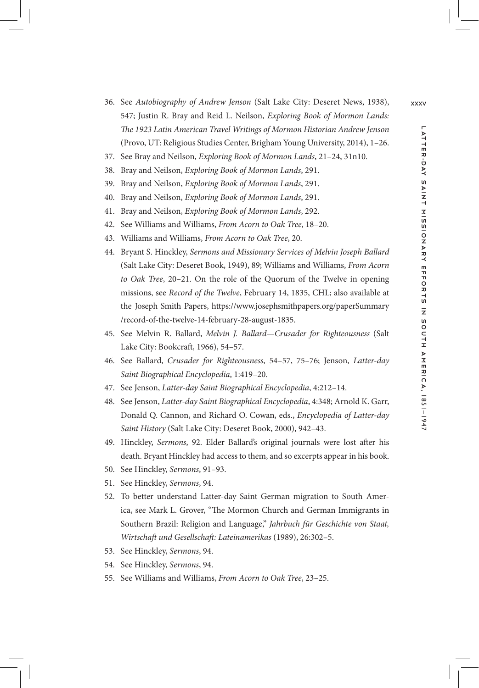- 36. See *Autobiography of Andrew Jenson* (Salt Lake City: Deseret News, 1938), xxxv 547; Justin R. Bray and Reid L. Neilson, *Exploring Book of Mormon Lands: The 1923 Latin American Travel Writings of Mormon Historian Andrew Jenson* (Provo, UT: Religious Studies Center, Brigham Young University, 2014), 1–26.
- 37. See Bray and Neilson, *Exploring Book of Mormon Lands*, 21–24, 31n10.
- 38. Bray and Neilson, *Exploring Book of Mormon Lands*, 291.
- 39. Bray and Neilson, *Exploring Book of Mormon Lands*, 291.
- 40. Bray and Neilson, *Exploring Book of Mormon Lands*, 291.
- 41. Bray and Neilson, *Exploring Book of Mormon Lands*, 292.
- 42. See Williams and Williams, *From Acorn to Oak Tree*, 18–20.
- 43. Williams and Williams, *From Acorn to Oak Tree*, 20.
- 44. Bryant S. Hinckley, *Sermons and Missionary Services of Melvin Joseph Ballard* (Salt Lake City: Deseret Book, 1949), 89; Williams and Williams, *From Acorn to Oak Tree*, 20–21. On the role of the Quorum of the Twelve in opening missions, see *Record of the Twelve*, February 14, 1835, CHL; also available at the Joseph Smith Papers, https://www.josephsmithpapers.org/paperSummary /record-of-the-twelve-14-february-28-august-1835.
- 45. See Melvin R. Ballard, *Melvin J. Ballard—Crusader for Righteousness* (Salt Lake City: Bookcraft, 1966), 54–57.
- 46. See Ballard, *Crusader for Righteousness*, 54–57, 75–76; Jenson, *Latter-day Saint Biographical Encyclopedia*, 1:419–20.
- 47. See Jenson, *Latter-day Saint Biographical Encyclopedia*, 4:212–14.
- 48. See Jenson, *Latter-day Saint Biographical Encyclopedia*, 4:348; Arnold K. Garr, Donald Q. Cannon, and Richard O. Cowan, eds., *Encyclopedia of Latter-day Saint History* (Salt Lake City: Deseret Book, 2000), 942–43.
- 49. Hinckley, *Sermons*, 92. Elder Ballard's original journals were lost after his death. Bryant Hinckley had access to them, and so excerpts appear in his book.
- 50. See Hinckley, *Sermons*, 91–93.
- 51. See Hinckley, *Sermons*, 94.
- 52. To better understand Latter-day Saint German migration to South America, see Mark L. Grover, "The Mormon Church and German Immigrants in Southern Brazil: Religion and Language," *Jahrbuch für Geschichte von Staat, Wirtschaft und Gesellschaft: Lateinamerikas* (1989), 26:302–5.
- 53. See Hinckley, *Sermons*, 94.
- 54. See Hinckley, *Sermons*, 94.
- 55. See Williams and Williams, *From Acorn to Oak Tree*, 23–25.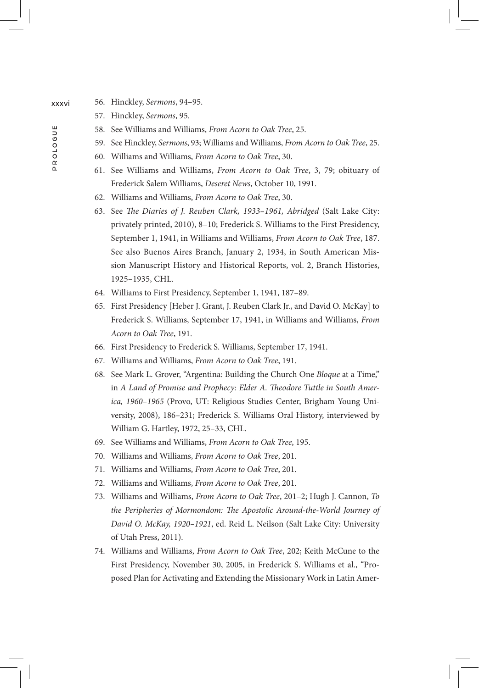- xxxvi 56. Hinckley, *Sermons*, 94–95.
	- 57. Hinckley, *Sermons*, 95.
	- 58. See Williams and Williams, *From Acorn to Oak Tree*, 25.
	- 59. See Hinckley, *Sermons*, 93; Williams and Williams, *From Acorn to Oak Tree*, 25.
	- 60. Williams and Williams, *From Acorn to Oak Tree*, 30.
	- 61. See Williams and Williams, *From Acorn to Oak Tree*, 3, 79; obituary of Frederick Salem Williams, *Deseret News*, October 10, 1991.
	- 62. Williams and Williams, *From Acorn to Oak Tree*, 30.
	- 63. See *The Diaries of J. Reuben Clark, 1933–1961, Abridged* (Salt Lake City: privately printed, 2010), 8–10; Frederick S. Williams to the First Presidency, September 1, 1941, in Williams and Williams, *From Acorn to Oak Tree*, 187. See also Buenos Aires Branch, January 2, 1934, in South American Mission Manuscript History and Historical Reports, vol. 2, Branch Histories, 1925–1935, CHL.
	- 64. Williams to First Presidency, September 1, 1941, 187–89.
	- 65. First Presidency [Heber J. Grant, J. Reuben Clark Jr., and David O. McKay] to Frederick S. Williams, September 17, 1941, in Williams and Williams, *From Acorn to Oak Tree*, 191.
	- 66. First Presidency to Frederick S. Williams, September 17, 1941.
	- 67. Williams and Williams, *From Acorn to Oak Tree*, 191.
	- 68. See Mark L. Grover, "Argentina: Building the Church One *Bloque* at a Time," in *A Land of Promise and Prophecy: Elder A. Theodore Tuttle in South America, 1960–1965* (Provo, UT: Religious Studies Center, Brigham Young University, 2008), 186–231; Frederick S. Williams Oral History, interviewed by William G. Hartley, 1972, 25–33, CHL.
	- 69. See Williams and Williams, *From Acorn to Oak Tree*, 195.
	- 70. Williams and Williams, *From Acorn to Oak Tree*, 201.
	- 71. Williams and Williams, *From Acorn to Oak Tree*, 201.
	- 72. Williams and Williams, *From Acorn to Oak Tree*, 201.
	- 73. Williams and Williams, *From Acorn to Oak Tree*, 201–2; Hugh J. Cannon, *To the Peripheries of Mormondom: The Apostolic Around-the-World Journey of David O. McKay, 1920–1921*, ed. Reid L. Neilson (Salt Lake City: University of Utah Press, 2011).
	- 74. Williams and Williams, *From Acorn to Oak Tree*, 202; Keith McCune to the First Presidency, November 30, 2005, in Frederick S. Williams et al., "Proposed Plan for Activating and Extending the Missionary Work in Latin Amer-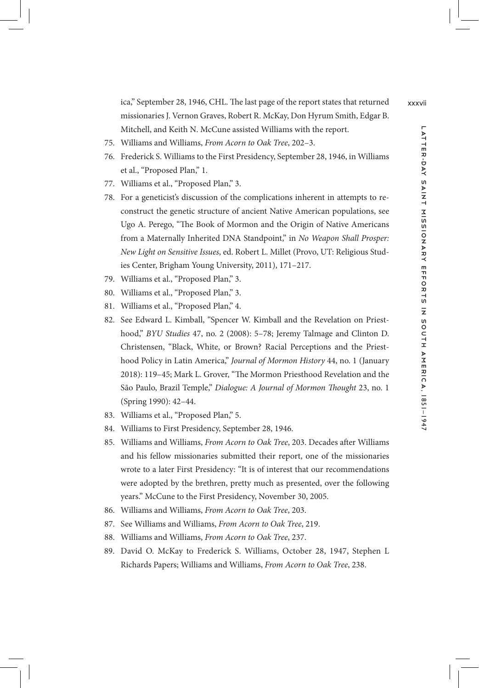ica," September 28, 1946, CHL. The last page of the report states that returned xxxvii missionaries J. Vernon Graves, Robert R. McKay, Don Hyrum Smith, Edgar B. Mitchell, and Keith N. McCune assisted Williams with the report.

- 75. Williams and Williams, *From Acorn to Oak Tree*, 202–3.
- 76. Frederick S. Williams to the First Presidency, September 28, 1946, in Williams et al., "Proposed Plan," 1.
- 77. Williams et al., "Proposed Plan," 3.
- 78. For a geneticist's discussion of the complications inherent in attempts to reconstruct the genetic structure of ancient Native American populations, see Ugo A. Perego, "The Book of Mormon and the Origin of Native Americans from a Maternally Inherited DNA Standpoint," in *No Weapon Shall Prosper: New Light on Sensitive Issues*, ed. Robert L. Millet (Provo, UT: Religious Studies Center, Brigham Young University, 2011), 171–217.
- 79. Williams et al., "Proposed Plan," 3.
- 80. Williams et al., "Proposed Plan," 3.
- 81. Williams et al., "Proposed Plan," 4.
- 82. See Edward L. Kimball, "Spencer W. Kimball and the Revelation on Priesthood," *BYU Studies* 47, no. 2 (2008): 5–78; Jeremy Talmage and Clinton D. Christensen, "Black, White, or Brown? Racial Perceptions and the Priesthood Policy in Latin America," *Journal of Mormon History* 44, no. 1 (January 2018): 119–45; Mark L. Grover, "The Mormon Priesthood Revelation and the São Paulo, Brazil Temple," *Dialogue: A Journal of Mormon Thought* 23, no. 1 (Spring 1990): 42–44.
- 83. Williams et al., "Proposed Plan," 5.
- 84. Williams to First Presidency, September 28, 1946.
- 85. Williams and Williams, *From Acorn to Oak Tree*, 203. Decades after Williams and his fellow missionaries submitted their report, one of the missionaries wrote to a later First Presidency: "It is of interest that our recommendations were adopted by the brethren, pretty much as presented, over the following years." McCune to the First Presidency, November 30, 2005.
- 86. Williams and Williams, *From Acorn to Oak Tree*, 203.
- 87. See Williams and Williams, *From Acorn to Oak Tree*, 219.
- 88. Williams and Williams, *From Acorn to Oak Tree*, 237.
- 89. David O. McKay to Frederick S. Williams, October 28, 1947, Stephen L Richards Papers; Williams and Williams, *From Acorn to Oak Tree*, 238.